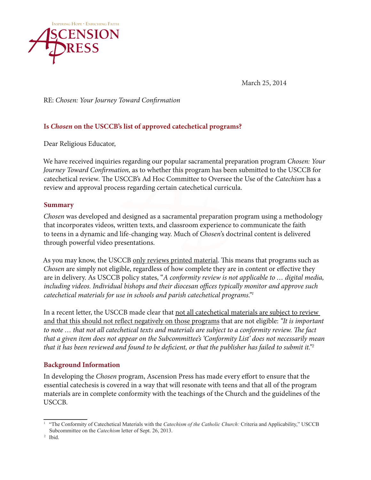

March 25, 2014

RE: *Chosen: Your Journey Toward Confirmation* 

# **Is** *Chosen* **on the USCCB's list of approved catechetical programs?**

Dear Religious Educator,

We have received inquiries regarding our popular sacramental preparation program *Chosen: Your Journey Toward Confirmation,* as to whether this program has been submitted to the USCCB for catechetical review*.* The USCCB's Ad Hoc Committee to Oversee the Use of the *Catechism* has a review and approval process regarding certain catechetical curricula.

## **Summary**

*Chosen* was developed and designed as a sacramental preparation program using a methodology that incorporates videos, written texts, and classroom experience to communicate the faith to teens in a dynamic and life-changing way. Much of *Chosen*'s doctrinal content is delivered through powerful video presentations.

As you may know, the USCCB only reviews printed material. This means that programs such as *Chosen* are simply not eligible, regardless of how complete they are in content or effective they are in delivery. As USCCB policy states, "*A conformity review is not applicable to … digital media, including videos. Individual bishops and their diocesan offices typically monitor and approve such catechetical materials for use in schools and parish catechetical programs."1*

In a recent letter, the USCCB made clear that not all cate chetical materials are subject to review and that this should not reflect negatively on those programs that are not eligible: *"It is important to note … that not all catechetical texts and materials are subject to a conformity review. The fact that a given item does not appear on the Subcommittee's 'Conformity List' does not necessarily mean that it has been reviewed and found to be deficient, or that the publisher has failed to submit it."2*

## **Background Information**

In developing the *Chosen* program, Ascension Press has made every effort to ensure that the essential catechesis is covered in a way that will resonate with teens and that all of the program materials are in complete conformity with the teachings of the Church and the guidelines of the USCCB.

<sup>1</sup> "The Conformity of Catechetical Materials with the *Catechism of the Catholic Church:* Criteria and Applicability," USCCB Subcommittee on the *Catechism* letter of Sept. 26, 2013.

<sup>2</sup> Ibid.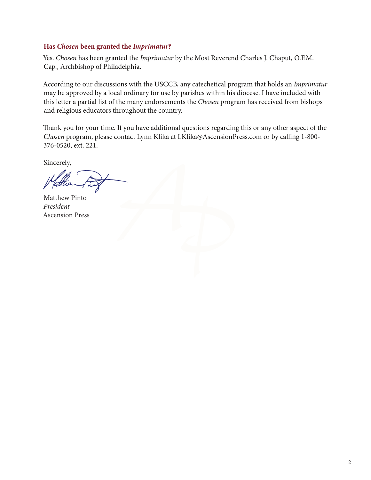### **Has** *Chosen* **been granted the** *Imprimatur***?**

Yes. *Chosen* has been granted the *Imprimatur* by the Most Reverend Charles J. Chaput, O.F.M. Cap., Archbishop of Philadelphia.

According to our discussions with the USCCB, any catechetical program that holds an *Imprimatur* may be approved by a local ordinary for use by parishes within his diocese. I have included with this letter a partial list of the many endorsements the *Chosen* program has received from bishops and religious educators throughout the country.

Thank you for your time. If you have additional questions regarding this or any other aspect of the *Chosen* program, please contact Lynn Klika at LKlika@AscensionPress.com or by calling 1-800- 376-0520, ext. 221.

Sincerely,

Matthew Pinto *President* Ascension Press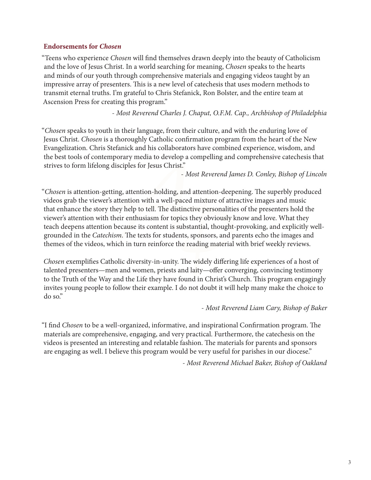### **Endorsements for** *Chosen*

"Teens who experience *Chosen* will find themselves drawn deeply into the beauty of Catholicism and the love of Jesus Christ. In a world searching for meaning, *Chosen* speaks to the hearts and minds of our youth through comprehensive materials and engaging videos taught by an impressive array of presenters. This is a new level of catechesis that uses modern methods to transmit eternal truths. I'm grateful to Chris Stefanick, Ron Bolster, and the entire team at Ascension Press for creating this program."

- *Most Reverend Charles J. Chaput, O.F.M. Cap., Archbishop of Philadelphia*

"*Chosen* speaks to youth in their language, from their culture, and with the enduring love of Jesus Christ. *Chosen* is a thoroughly Catholic confirmation program from the heart of the New Evangelization. Chris Stefanick and his collaborators have combined experience, wisdom, and the best tools of contemporary media to develop a compelling and comprehensive catechesis that strives to form lifelong disciples for Jesus Christ."

- *Most Reverend James D. Conley, Bishop of Lincoln*

"*Chosen* is attention-getting, attention-holding, and attention-deepening. The superbly produced videos grab the viewer's attention with a well-paced mixture of attractive images and music that enhance the story they help to tell. The distinctive personalities of the presenters hold the viewer's attention with their enthusiasm for topics they obviously know and love. What they teach deepens attention because its content is substantial, thought-provoking, and explicitly wellgrounded in the *Catechism*. The texts for students, sponsors, and parents echo the images and themes of the videos, which in turn reinforce the reading material with brief weekly reviews.

*Chosen* exemplifies Catholic diversity-in-unity. The widely differing life experiences of a host of talented presenters—men and women, priests and laity—offer converging, convincing testimony to the Truth of the Way and the Life they have found in Christ's Church. This program engagingly invites young people to follow their example. I do not doubt it will help many make the choice to do so."

- *Most Reverend Liam Cary, Bishop of Baker*

"I find *Chosen* to be a well-organized, informative, and inspirational Confirmation program. The materials are comprehensive, engaging, and very practical. Furthermore, the catechesis on the videos is presented an interesting and relatable fashion. The materials for parents and sponsors are engaging as well. I believe this program would be very useful for parishes in our diocese."

- *Most Reverend Michael Baker, Bishop of Oakland*